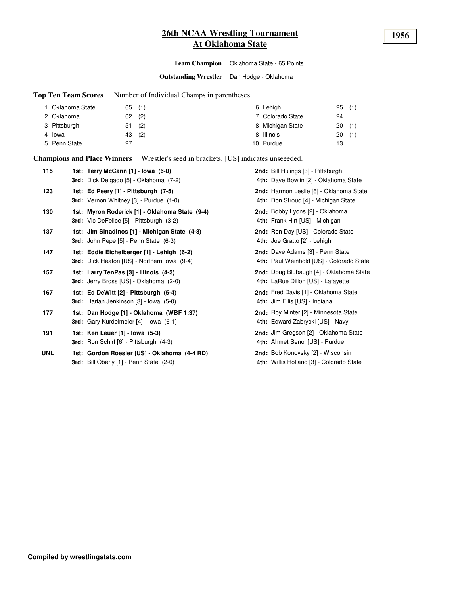# **26th NCAA Wrestling Tournament 1956 At Oklahoma State**

**Team Champion** Oklahoma State - 65 Points

**Outstanding Wrestler** Dan Hodge - Oklahoma

**Top Ten Team Scores** Number of Individual Champs in parentheses.

| Oklahoma State | 65(1)     | 6 Lehigh         | 25(1)     |
|----------------|-----------|------------------|-----------|
| 2 Oklahoma     | (2)<br>62 | 7 Colorado State | 24        |
| 3 Pittsburgh   | (2)<br>51 | 8 Michigan State | 20(1)     |
| 4 Iowa         | (2)<br>43 | 8 Illinois       | (1)<br>20 |
| 5 Penn State   | 27        | 10 Purdue        | 13        |

**Champions and Place Winners** Wrestler's seed in brackets, [US] indicates unseeeded.

| 115        | 1st: Terry McCann [1] - Iowa (6-0)<br>3rd: Dick Delgado [5] - Oklahoma (7-2)                      | 2nd: Bill Hulings [3] - Pittsburgh<br>4th: Dave Bowlin [2] - Oklahoma State     |
|------------|---------------------------------------------------------------------------------------------------|---------------------------------------------------------------------------------|
| 123        | 1st: Ed Peery [1] - Pittsburgh (7-5)<br>3rd: Vernon Whitney [3] - Purdue (1-0)                    | 2nd: Harmon Leslie [6] - Oklahoma State<br>4th: Don Stroud [4] - Michigan State |
| 130        | 1st: Myron Roderick [1] - Oklahoma State (9-4)<br><b>3rd:</b> Vic DeFelice [5] - Pittsburgh (3-2) | 2nd: Bobby Lyons [2] - Oklahoma<br>4th: Frank Hirt [US] - Michigan              |
| 137        | 1st: Jim Sinadinos [1] - Michigan State (4-3)<br>3rd: John Pepe [5] - Penn State (6-3)            | 2nd: Ron Day [US] - Colorado State<br>4th: Joe Gratto [2] - Lehigh              |
| 147        | 1st: Eddie Eichelberger [1] - Lehigh (6-2)<br>3rd: Dick Heaton [US] - Northern Iowa (9-4)         | 2nd: Dave Adams [3] - Penn State<br>4th: Paul Weinhold [US] - Colorado State    |
| 157        | 1st: Larry TenPas [3] - Illinois (4-3)<br><b>3rd:</b> Jerry Bross [US] - Oklahoma (2-0)           | 2nd: Doug Blubaugh [4] - Oklahoma State<br>4th: LaRue Dillon [US] - Lafayette   |
| 167        | 1st: Ed DeWitt [2] - Pittsburgh (5-4)<br>3rd: Harlan Jenkinson [3] - Iowa (5-0)                   | 2nd: Fred Davis [1] - Oklahoma State<br>4th: Jim Ellis [US] - Indiana           |
| 177        | 1st: Dan Hodge [1] - Oklahoma (WBF 1:37)<br><b>3rd:</b> Gary Kurdelmeier [4] - Iowa (6-1)         | 2nd: Roy Minter [2] - Minnesota State<br>4th: Edward Zabrycki [US] - Navy       |
| 191        | 1st: Ken Leuer [1] - Iowa (5-3)<br>3rd: Ron Schirf [6] - Pittsburgh (4-3)                         | 2nd: Jim Gregson [2] - Oklahoma State<br>4th: Ahmet Senol [US] - Purdue         |
| <b>UNL</b> | 1st: Gordon Roesler [US] - Oklahoma (4-4 RD)<br>3rd: Bill Oberly [1] - Penn State (2-0)           | 2nd: Bob Konovsky [2] - Wisconsin<br>4th: Willis Holland [3] - Colorado State   |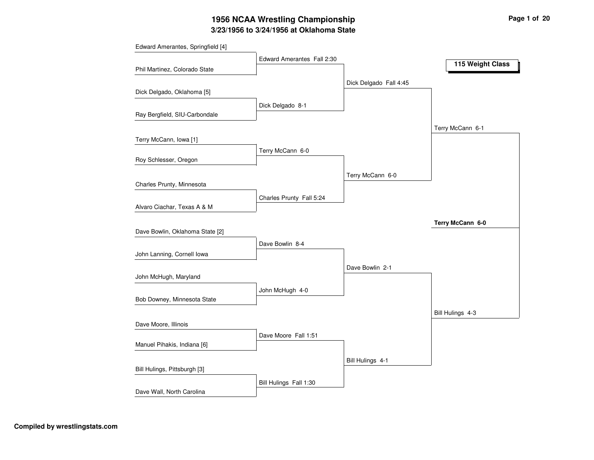# **3/23/1956 to 3/24/1956 at Oklahoma State 1956 NCAA Wrestling Championship Page <sup>1</sup> of <sup>20</sup>**

| Edward Amerantes, Springfield [4] |                            |                        |                  |
|-----------------------------------|----------------------------|------------------------|------------------|
| Phil Martinez, Colorado State     | Edward Amerantes Fall 2:30 |                        | 115 Weight Class |
|                                   |                            | Dick Delgado Fall 4:45 |                  |
| Dick Delgado, Oklahoma [5]        |                            |                        |                  |
| Ray Bergfield, SIU-Carbondale     | Dick Delgado 8-1           |                        |                  |
|                                   |                            |                        | Terry McCann 6-1 |
| Terry McCann, Iowa [1]            |                            |                        |                  |
| Roy Schlesser, Oregon             | Terry McCann 6-0           |                        |                  |
|                                   |                            |                        |                  |
| Charles Prunty, Minnesota         |                            | Terry McCann 6-0       |                  |
| Alvaro Ciachar, Texas A & M       | Charles Prunty Fall 5:24   |                        |                  |
|                                   |                            |                        | Terry McCann 6-0 |
| Dave Bowlin, Oklahoma State [2]   |                            |                        |                  |
|                                   | Dave Bowlin 8-4            |                        |                  |
| John Lanning, Cornell Iowa        |                            |                        |                  |
| John McHugh, Maryland             |                            | Dave Bowlin 2-1        |                  |
|                                   | John McHugh 4-0            |                        |                  |
| Bob Downey, Minnesota State       |                            |                        |                  |
|                                   |                            |                        | Bill Hulings 4-3 |
| Dave Moore, Illinois              |                            |                        |                  |
| Manuel Pihakis, Indiana [6]       | Dave Moore Fall 1:51       |                        |                  |
| Bill Hulings, Pittsburgh [3]      |                            | Bill Hulings 4-1       |                  |
|                                   | Bill Hulings Fall 1:30     |                        |                  |
| Dave Wall, North Carolina         |                            |                        |                  |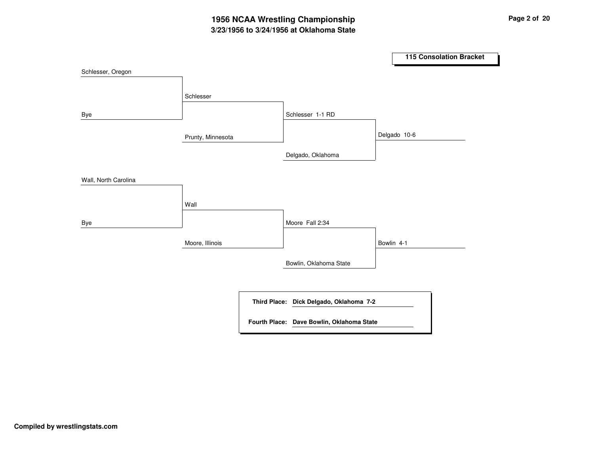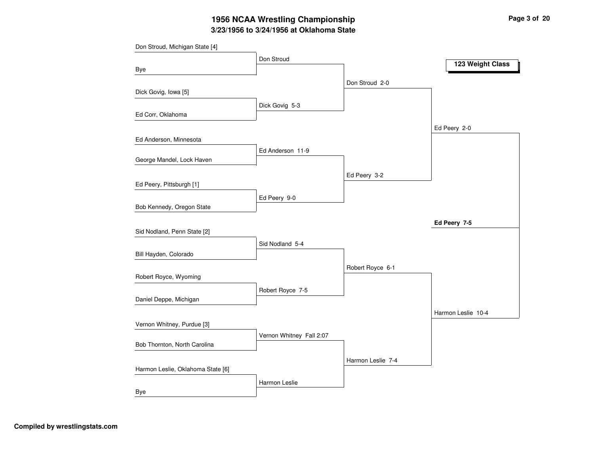# **3/23/1956 to 3/24/1956 at Oklahoma State 1956 NCAA Wrestling Championship Page <sup>3</sup> of <sup>20</sup>**

|                                   | Don Stroud               |                   |                    |
|-----------------------------------|--------------------------|-------------------|--------------------|
| Bye                               |                          |                   | 123 Weight Class   |
|                                   |                          | Don Stroud 2-0    |                    |
| Dick Govig, Iowa [5]              |                          |                   |                    |
|                                   | Dick Govig 5-3           |                   |                    |
| Ed Corr, Oklahoma                 |                          |                   |                    |
| Ed Anderson, Minnesota            |                          |                   | Ed Peery 2-0       |
|                                   | Ed Anderson 11-9         |                   |                    |
| George Mandel, Lock Haven         |                          |                   |                    |
|                                   |                          | Ed Peery 3-2      |                    |
| Ed Peery, Pittsburgh [1]          |                          |                   |                    |
|                                   | Ed Peery 9-0             |                   |                    |
| Bob Kennedy, Oregon State         |                          |                   |                    |
|                                   |                          |                   | Ed Peery 7-5       |
| Sid Nodland, Penn State [2]       | Sid Nodland 5-4          |                   |                    |
| Bill Hayden, Colorado             |                          |                   |                    |
|                                   |                          | Robert Royce 6-1  |                    |
| Robert Royce, Wyoming             |                          |                   |                    |
|                                   | Robert Royce 7-5         |                   |                    |
| Daniel Deppe, Michigan            |                          |                   |                    |
|                                   |                          |                   | Harmon Leslie 10-4 |
| Vernon Whitney, Purdue [3]        |                          |                   |                    |
| Bob Thornton, North Carolina      | Vernon Whitney Fall 2:07 |                   |                    |
|                                   |                          | Harmon Leslie 7-4 |                    |
| Harmon Leslie, Oklahoma State [6] |                          |                   |                    |
|                                   | Harmon Leslie            |                   |                    |
| Bye                               |                          |                   |                    |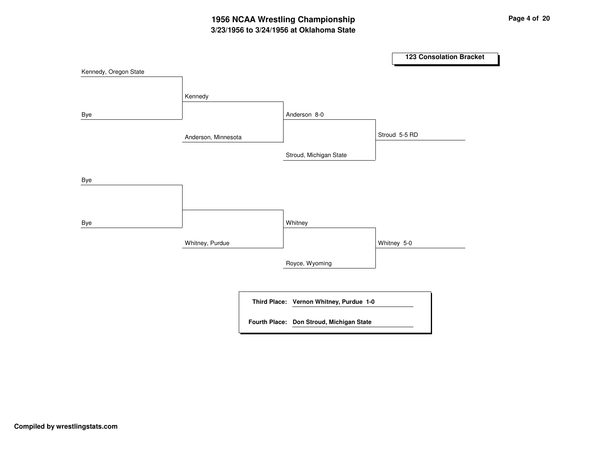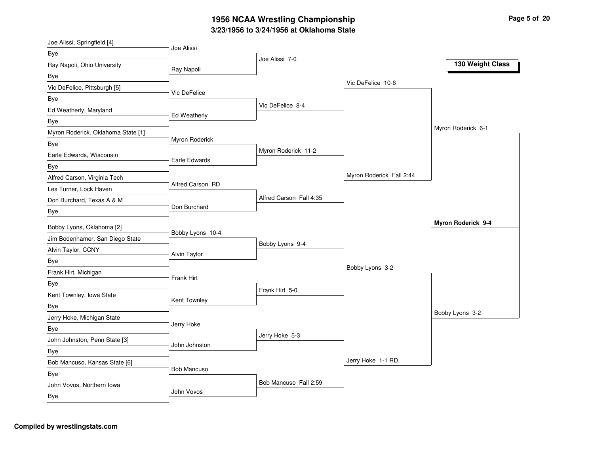|                                    | Joe Alissi          |                         |                          |                    |
|------------------------------------|---------------------|-------------------------|--------------------------|--------------------|
| Bye                                |                     | Joe Alissi 7-0          |                          |                    |
| Ray Napoli, Ohio University        | Ray Napoli          |                         |                          | 130 Weight Class   |
| Bye                                |                     |                         |                          |                    |
| Vic DeFelice, Pittsburgh [5]       |                     |                         | Vic DeFelice 10-6        |                    |
| Bye                                | Vic DeFelice        |                         |                          |                    |
| Ed Weatherly, Maryland             |                     | Vic DeFelice 8-4        |                          |                    |
| Bye                                | <b>Ed Weatherly</b> |                         |                          |                    |
| Myron Roderick, Oklahoma State [1] |                     |                         |                          | Myron Roderick 6-1 |
| Bye                                | Myron Roderick      |                         |                          |                    |
| Earle Edwards, Wisconsin           | Earle Edwards       | Myron Roderick 11-2     |                          |                    |
| Bye                                |                     |                         |                          |                    |
| Alfred Carson, Virginia Tech       |                     |                         | Myron Roderick Fall 2:44 |                    |
| Les Turner, Lock Haven             | Alfred Carson RD    |                         |                          |                    |
| Don Burchard, Texas A & M          |                     | Alfred Carson Fall 4:35 |                          |                    |
| Bye                                | Don Burchard        |                         |                          |                    |
| Bobby Lyons, Oklahoma [2]          |                     |                         |                          | Myron Roderick 9-4 |
| Jim Bodenhamer, San Diego State    | Bobby Lyons 10-4    |                         |                          |                    |
| Alvin Taylor, CCNY                 |                     | Bobby Lyons 9-4         |                          |                    |
| Bye                                | <b>Alvin Taylor</b> |                         |                          |                    |
| Frank Hirt, Michigan               |                     |                         | Bobby Lyons 3-2          |                    |
|                                    |                     |                         |                          |                    |
|                                    | Frank Hirt          |                         |                          |                    |
| <b>Bye</b>                         |                     | Frank Hirt 5-0          |                          |                    |
| Kent Townley, Iowa State           | Kent Townley        |                         |                          |                    |
| Bye                                |                     |                         |                          | Bobby Lyons 3-2    |
| Jerry Hoke, Michigan State         | Jerry Hoke          |                         |                          |                    |
| Bye                                |                     | Jerry Hoke 5-3          |                          |                    |
| John Johnston, Penn State [3]      | John Johnston       |                         |                          |                    |
| <b>Bye</b>                         |                     |                         | Jerry Hoke 1-1 RD        |                    |
| Bob Mancuso, Kansas State [6]      | <b>Bob Mancuso</b>  |                         |                          |                    |
| Bye<br>John Vovos, Northern Iowa   |                     | Bob Mancuso Fall 2:59   |                          |                    |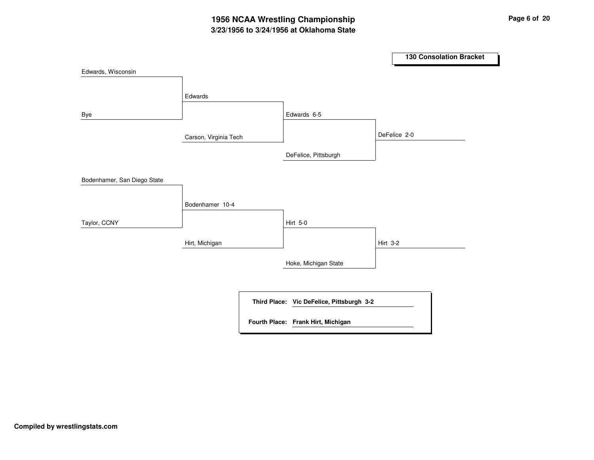## **3/23/1956 to 3/24/1956 at Oklahoma State 1956 NCAA Wrestling Championship Page <sup>6</sup> of <sup>20</sup>**

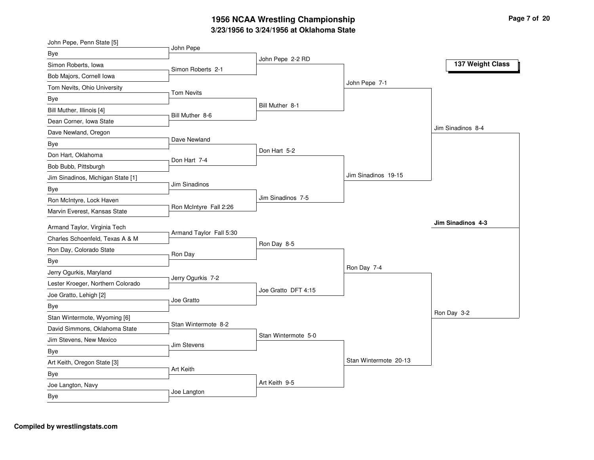| John Pepe, Penn State [5]         | John Pepe               |                     |                       |                   |
|-----------------------------------|-------------------------|---------------------|-----------------------|-------------------|
| Bye                               |                         | John Pepe 2-2 RD    |                       |                   |
| Simon Roberts, Iowa               | Simon Roberts 2-1       |                     |                       | 137 Weight Class  |
| Bob Majors, Cornell Iowa          |                         |                     |                       |                   |
| Tom Nevits, Ohio University       |                         |                     | John Pepe 7-1         |                   |
| <b>Bye</b>                        | <b>Tom Nevits</b>       |                     |                       |                   |
| Bill Muther, Illinois [4]         |                         | Bill Muther 8-1     |                       |                   |
| Dean Corner, Iowa State           | Bill Muther 8-6         |                     |                       |                   |
| Dave Newland, Oregon              |                         |                     |                       | Jim Sinadinos 8-4 |
| Bye                               | Dave Newland            |                     |                       |                   |
| Don Hart, Oklahoma                | Don Hart 7-4            | Don Hart 5-2        |                       |                   |
| Bob Bubb, Pittsburgh              |                         |                     |                       |                   |
| Jim Sinadinos, Michigan State [1] |                         |                     | Jim Sinadinos 19-15   |                   |
| Bye                               | Jim Sinadinos           |                     |                       |                   |
| Ron McIntyre, Lock Haven          |                         | Jim Sinadinos 7-5   |                       |                   |
| Marvin Everest, Kansas State      | Ron McIntyre Fall 2:26  |                     |                       |                   |
| Armand Taylor, Virginia Tech      |                         |                     |                       | Jim Sinadinos 4-3 |
| Charles Schoenfeld, Texas A & M   | Armand Taylor Fall 5:30 |                     |                       |                   |
| Ron Day, Colorado State           |                         | Ron Day 8-5         |                       |                   |
| Bye                               | Ron Day                 |                     |                       |                   |
| Jerry Ogurkis, Maryland           |                         |                     | Ron Day 7-4           |                   |
| Lester Kroeger, Northern Colorado | Jerry Ogurkis 7-2       |                     |                       |                   |
| Joe Gratto, Lehigh [2]            |                         | Joe Gratto DFT 4:15 |                       |                   |
| Bye                               | Joe Gratto              |                     |                       |                   |
| Stan Wintermote, Wyoming [6]      |                         |                     |                       | Ron Day 3-2       |
| David Simmons, Oklahoma State     | Stan Wintermote 8-2     |                     |                       |                   |
| Jim Stevens, New Mexico           |                         | Stan Wintermote 5-0 |                       |                   |
| Bye                               | Jim Stevens             |                     |                       |                   |
| Art Keith, Oregon State [3]       |                         |                     | Stan Wintermote 20-13 |                   |
| Bye                               | Art Keith               |                     |                       |                   |
| Joe Langton, Navy                 |                         | Art Keith 9-5       |                       |                   |
| Bye                               | Joe Langton             |                     |                       |                   |
|                                   |                         |                     |                       |                   |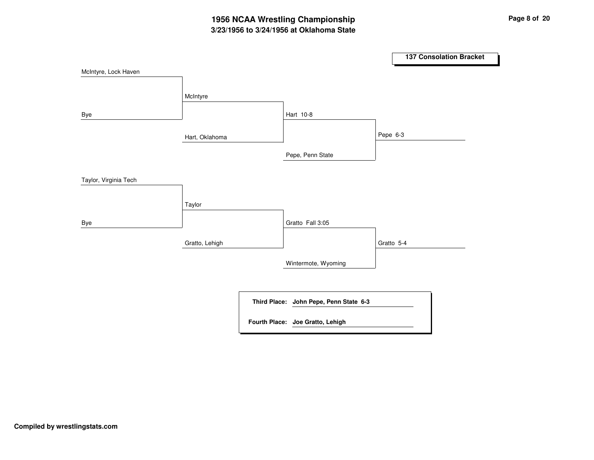## **3/23/1956 to 3/24/1956 at Oklahoma State 1956 NCAA Wrestling Championship Page <sup>8</sup> of <sup>20</sup>**

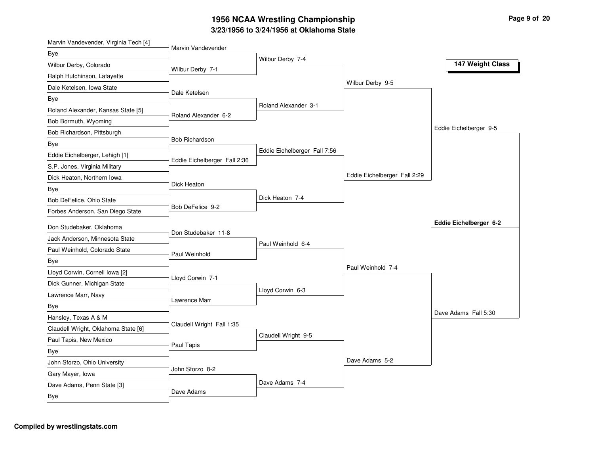| Marvin Vandevender, Virginia Tech [4] | Marvin Vandevender           |                              |                              |                        |
|---------------------------------------|------------------------------|------------------------------|------------------------------|------------------------|
| Bye                                   |                              | Wilbur Derby 7-4             |                              |                        |
| Wilbur Derby, Colorado                | Wilbur Derby 7-1             |                              |                              | 147 Weight Class       |
| Ralph Hutchinson, Lafayette           |                              |                              |                              |                        |
| Dale Ketelsen, Iowa State             | Dale Ketelsen                |                              | Wilbur Derby 9-5             |                        |
| Bye                                   |                              |                              |                              |                        |
| Roland Alexander, Kansas State [5]    | Roland Alexander 6-2         | Roland Alexander 3-1         |                              |                        |
| Bob Bormuth, Wyoming                  |                              |                              |                              |                        |
| Bob Richardson, Pittsburgh            |                              |                              |                              | Eddie Eichelberger 9-5 |
| Bye                                   | <b>Bob Richardson</b>        |                              |                              |                        |
| Eddie Eichelberger, Lehigh [1]        | Eddie Eichelberger Fall 2:36 | Eddie Eichelberger Fall 7:56 |                              |                        |
| S.P. Jones, Virginia Military         |                              |                              |                              |                        |
| Dick Heaton, Northern Iowa            |                              |                              | Eddie Eichelberger Fall 2:29 |                        |
| Bye                                   | Dick Heaton                  |                              |                              |                        |
| Bob DeFelice, Ohio State              |                              | Dick Heaton 7-4              |                              |                        |
| Forbes Anderson, San Diego State      | Bob DeFelice 9-2             |                              |                              |                        |
| Don Studebaker, Oklahoma              |                              |                              |                              | Eddie Eichelberger 6-2 |
| Jack Anderson, Minnesota State        | Don Studebaker 11-8          |                              |                              |                        |
| Paul Weinhold, Colorado State         |                              | Paul Weinhold 6-4            |                              |                        |
| Bye                                   | Paul Weinhold                |                              |                              |                        |
| Lloyd Corwin, Cornell Iowa [2]        |                              |                              | Paul Weinhold 7-4            |                        |
| Dick Gunner, Michigan State           | Lloyd Corwin 7-1             |                              |                              |                        |
| Lawrence Marr, Navy                   |                              | Lloyd Corwin 6-3             |                              |                        |
| Bye                                   | Lawrence Marr                |                              |                              |                        |
| Hansley, Texas A & M                  |                              |                              |                              | Dave Adams Fall 5:30   |
| Claudell Wright, Oklahoma State [6]   | Claudell Wright Fall 1:35    |                              |                              |                        |
| Paul Tapis, New Mexico                |                              | Claudell Wright 9-5          |                              |                        |
| Bye                                   | Paul Tapis                   |                              |                              |                        |
| John Sforzo, Ohio University          |                              |                              | Dave Adams 5-2               |                        |
| Gary Mayer, Iowa                      | John Sforzo 8-2              |                              |                              |                        |
| Dave Adams, Penn State [3]            |                              | Dave Adams 7-4               |                              |                        |
| Bye                                   | Dave Adams                   |                              |                              |                        |
|                                       |                              |                              |                              |                        |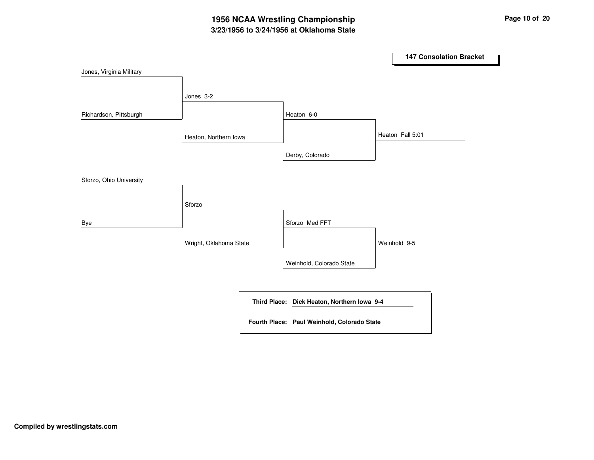# **3/23/1956 to 3/24/1956 at Oklahoma State 1956 NCAA Wrestling Championship Page <sup>10</sup> of <sup>20</sup>**

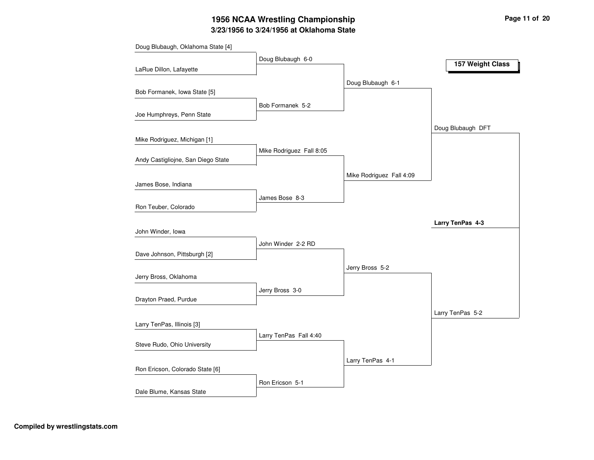# **3/23/1956 to 3/24/1956 at Oklahoma State 1956 NCAA Wrestling Championship Page <sup>11</sup> of <sup>20</sup>**

| Doug Blubaugh 6-0<br>157 Weight Class<br>LaRue Dillon, Lafayette<br>Doug Blubaugh 6-1<br>Bob Formanek, Iowa State [5]<br>Bob Formanek 5-2<br>Joe Humphreys, Penn State<br>Doug Blubaugh DFT<br>Mike Rodriguez, Michigan [1]<br>Mike Rodriguez Fall 8:05<br>Andy Castigliojne, San Diego State<br>Mike Rodriguez Fall 4:09<br>James Bose, Indiana<br>James Bose 8-3<br>Ron Teuber, Colorado<br>Larry TenPas 4-3<br>John Winder, lowa<br>John Winder 2-2 RD<br>Dave Johnson, Pittsburgh [2]<br>Jerry Bross 5-2<br>Jerry Bross, Oklahoma<br>Jerry Bross 3-0<br>Drayton Praed, Purdue<br>Larry TenPas 5-2<br>Larry TenPas, Illinois [3]<br>Larry TenPas Fall 4:40<br>Steve Rudo, Ohio University<br>Larry TenPas 4-1<br>Ron Ericson, Colorado State [6] | Doug Blubaugh, Oklahoma State [4] |                 |  |
|-----------------------------------------------------------------------------------------------------------------------------------------------------------------------------------------------------------------------------------------------------------------------------------------------------------------------------------------------------------------------------------------------------------------------------------------------------------------------------------------------------------------------------------------------------------------------------------------------------------------------------------------------------------------------------------------------------------------------------------------------------|-----------------------------------|-----------------|--|
|                                                                                                                                                                                                                                                                                                                                                                                                                                                                                                                                                                                                                                                                                                                                                     |                                   |                 |  |
|                                                                                                                                                                                                                                                                                                                                                                                                                                                                                                                                                                                                                                                                                                                                                     |                                   |                 |  |
|                                                                                                                                                                                                                                                                                                                                                                                                                                                                                                                                                                                                                                                                                                                                                     |                                   |                 |  |
|                                                                                                                                                                                                                                                                                                                                                                                                                                                                                                                                                                                                                                                                                                                                                     |                                   |                 |  |
|                                                                                                                                                                                                                                                                                                                                                                                                                                                                                                                                                                                                                                                                                                                                                     |                                   |                 |  |
|                                                                                                                                                                                                                                                                                                                                                                                                                                                                                                                                                                                                                                                                                                                                                     |                                   |                 |  |
|                                                                                                                                                                                                                                                                                                                                                                                                                                                                                                                                                                                                                                                                                                                                                     |                                   |                 |  |
|                                                                                                                                                                                                                                                                                                                                                                                                                                                                                                                                                                                                                                                                                                                                                     |                                   |                 |  |
|                                                                                                                                                                                                                                                                                                                                                                                                                                                                                                                                                                                                                                                                                                                                                     |                                   |                 |  |
|                                                                                                                                                                                                                                                                                                                                                                                                                                                                                                                                                                                                                                                                                                                                                     |                                   |                 |  |
|                                                                                                                                                                                                                                                                                                                                                                                                                                                                                                                                                                                                                                                                                                                                                     |                                   |                 |  |
|                                                                                                                                                                                                                                                                                                                                                                                                                                                                                                                                                                                                                                                                                                                                                     |                                   |                 |  |
|                                                                                                                                                                                                                                                                                                                                                                                                                                                                                                                                                                                                                                                                                                                                                     |                                   |                 |  |
|                                                                                                                                                                                                                                                                                                                                                                                                                                                                                                                                                                                                                                                                                                                                                     |                                   |                 |  |
|                                                                                                                                                                                                                                                                                                                                                                                                                                                                                                                                                                                                                                                                                                                                                     |                                   |                 |  |
|                                                                                                                                                                                                                                                                                                                                                                                                                                                                                                                                                                                                                                                                                                                                                     |                                   |                 |  |
|                                                                                                                                                                                                                                                                                                                                                                                                                                                                                                                                                                                                                                                                                                                                                     |                                   |                 |  |
|                                                                                                                                                                                                                                                                                                                                                                                                                                                                                                                                                                                                                                                                                                                                                     |                                   |                 |  |
|                                                                                                                                                                                                                                                                                                                                                                                                                                                                                                                                                                                                                                                                                                                                                     |                                   |                 |  |
|                                                                                                                                                                                                                                                                                                                                                                                                                                                                                                                                                                                                                                                                                                                                                     |                                   |                 |  |
|                                                                                                                                                                                                                                                                                                                                                                                                                                                                                                                                                                                                                                                                                                                                                     |                                   |                 |  |
|                                                                                                                                                                                                                                                                                                                                                                                                                                                                                                                                                                                                                                                                                                                                                     |                                   |                 |  |
|                                                                                                                                                                                                                                                                                                                                                                                                                                                                                                                                                                                                                                                                                                                                                     |                                   |                 |  |
|                                                                                                                                                                                                                                                                                                                                                                                                                                                                                                                                                                                                                                                                                                                                                     |                                   |                 |  |
|                                                                                                                                                                                                                                                                                                                                                                                                                                                                                                                                                                                                                                                                                                                                                     |                                   |                 |  |
|                                                                                                                                                                                                                                                                                                                                                                                                                                                                                                                                                                                                                                                                                                                                                     |                                   |                 |  |
|                                                                                                                                                                                                                                                                                                                                                                                                                                                                                                                                                                                                                                                                                                                                                     |                                   |                 |  |
|                                                                                                                                                                                                                                                                                                                                                                                                                                                                                                                                                                                                                                                                                                                                                     |                                   |                 |  |
|                                                                                                                                                                                                                                                                                                                                                                                                                                                                                                                                                                                                                                                                                                                                                     | Dale Blume, Kansas State          | Ron Ericson 5-1 |  |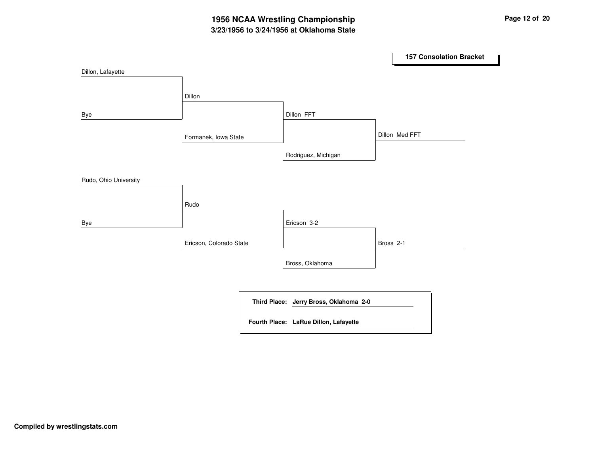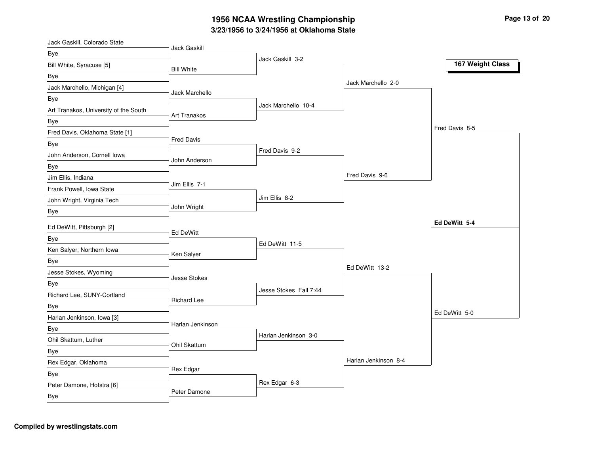| Jack Gaskill, Colorado State          | Jack Gaskill       |                        |                      |                  |
|---------------------------------------|--------------------|------------------------|----------------------|------------------|
| Bye                                   |                    | Jack Gaskill 3-2       |                      |                  |
| Bill White, Syracuse [5]              | <b>Bill White</b>  |                        |                      | 167 Weight Class |
| Bye                                   |                    |                        |                      |                  |
| Jack Marchello, Michigan [4]          | Jack Marchello     |                        | Jack Marchello 2-0   |                  |
| Bye                                   |                    |                        |                      |                  |
| Art Tranakos, University of the South | Art Tranakos       | Jack Marchello 10-4    |                      |                  |
| Bye                                   |                    |                        |                      |                  |
| Fred Davis, Oklahoma State [1]        |                    |                        |                      | Fred Davis 8-5   |
| Bye                                   | <b>Fred Davis</b>  |                        |                      |                  |
| John Anderson, Cornell Iowa           | John Anderson      | Fred Davis 9-2         |                      |                  |
| Bye                                   |                    |                        |                      |                  |
| Jim Ellis, Indiana                    |                    |                        | Fred Davis 9-6       |                  |
| Frank Powell, Iowa State              | Jim Ellis 7-1      |                        |                      |                  |
| John Wright, Virginia Tech            |                    | Jim Ellis 8-2          |                      |                  |
| <b>Bye</b>                            | John Wright        |                        |                      |                  |
| Ed DeWitt, Pittsburgh [2]             |                    |                        |                      | Ed DeWitt 5-4    |
| Bye                                   | Ed DeWitt          |                        |                      |                  |
| Ken Salyer, Northern Iowa             |                    | Ed DeWitt 11-5         |                      |                  |
| Bye                                   | Ken Salyer         |                        |                      |                  |
| Jesse Stokes, Wyoming                 |                    |                        | Ed DeWitt 13-2       |                  |
| Bye                                   | Jesse Stokes       |                        |                      |                  |
| Richard Lee, SUNY-Cortland            |                    | Jesse Stokes Fall 7:44 |                      |                  |
| Bye                                   | <b>Richard Lee</b> |                        |                      |                  |
| Harlan Jenkinson, Iowa [3]            |                    |                        |                      | Ed DeWitt 5-0    |
| Bye                                   | Harlan Jenkinson   |                        |                      |                  |
| Ohil Skattum, Luther                  |                    | Harlan Jenkinson 3-0   |                      |                  |
| Bye                                   | Ohil Skattum       |                        |                      |                  |
| Rex Edgar, Oklahoma                   |                    |                        | Harlan Jenkinson 8-4 |                  |
| Bye                                   | Rex Edgar          |                        |                      |                  |
| Peter Damone, Hofstra [6]             |                    | Rex Edgar 6-3          |                      |                  |
| <b>Bye</b>                            | Peter Damone       |                        |                      |                  |
|                                       |                    |                        |                      |                  |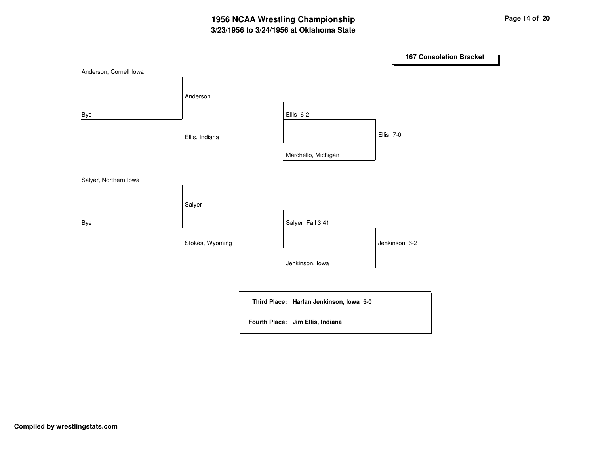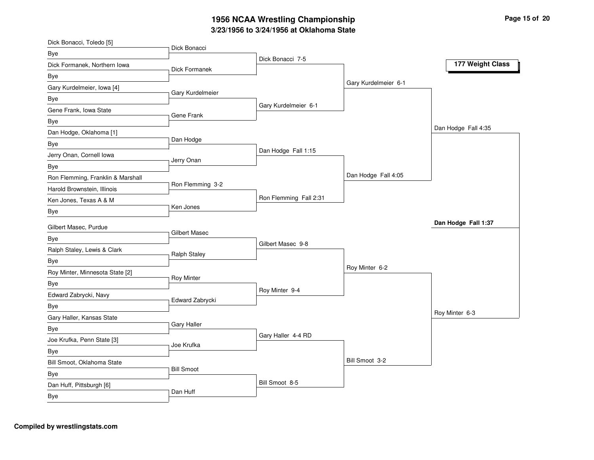| Dick Bonacci, Toledo [5]               |                      |                        |                      |                     |
|----------------------------------------|----------------------|------------------------|----------------------|---------------------|
| Bye                                    | Dick Bonacci         | Dick Bonacci 7-5       |                      |                     |
| Dick Formanek, Northern Iowa           | Dick Formanek        |                        |                      | 177 Weight Class    |
| Bye                                    |                      |                        |                      |                     |
| Gary Kurdelmeier, Iowa [4]             |                      |                        | Gary Kurdelmeier 6-1 |                     |
| Bye                                    | Gary Kurdelmeier     |                        |                      |                     |
| Gene Frank, Iowa State                 | Gene Frank           | Gary Kurdelmeier 6-1   |                      |                     |
| Bye                                    |                      |                        |                      |                     |
| Dan Hodge, Oklahoma [1]                |                      |                        |                      | Dan Hodge Fall 4:35 |
| Bye                                    | Dan Hodge            |                        |                      |                     |
| Jerry Onan, Cornell Iowa               |                      | Dan Hodge Fall 1:15    |                      |                     |
| <b>Bye</b>                             | Jerry Onan           |                        |                      |                     |
| Ron Flemming, Franklin & Marshall      |                      |                        | Dan Hodge Fall 4:05  |                     |
| Harold Brownstein, Illinois            | Ron Flemming 3-2     |                        |                      |                     |
| Ken Jones, Texas A & M                 |                      | Ron Flemming Fall 2:31 |                      |                     |
| Bye                                    | Ken Jones            |                        |                      |                     |
| Gilbert Masec, Purdue                  |                      |                        |                      | Dan Hodge Fall 1:37 |
| Bye                                    | <b>Gilbert Masec</b> |                        |                      |                     |
|                                        |                      | Gilbert Masec 9-8      |                      |                     |
|                                        |                      |                        |                      |                     |
| Ralph Staley, Lewis & Clark            | <b>Ralph Staley</b>  |                        |                      |                     |
| Bye                                    |                      |                        | Roy Minter 6-2       |                     |
| Roy Minter, Minnesota State [2]        | <b>Roy Minter</b>    |                        |                      |                     |
| <b>Bye</b>                             |                      | Roy Minter 9-4         |                      |                     |
| Edward Zabrycki, Navy                  | Edward Zabrycki      |                        |                      |                     |
| <b>Bye</b>                             |                      |                        |                      | Roy Minter 6-3      |
| Gary Haller, Kansas State              | <b>Gary Haller</b>   |                        |                      |                     |
| Bye                                    |                      | Gary Haller 4-4 RD     |                      |                     |
| Joe Krufka, Penn State [3]             | Joe Krufka           |                        |                      |                     |
| <b>Bye</b>                             |                      |                        | Bill Smoot 3-2       |                     |
| Bill Smoot, Oklahoma State             | <b>Bill Smoot</b>    |                        |                      |                     |
| Bye                                    |                      |                        |                      |                     |
| Dan Huff, Pittsburgh [6]<br><b>Bye</b> | Dan Huff             | Bill Smoot 8-5         |                      |                     |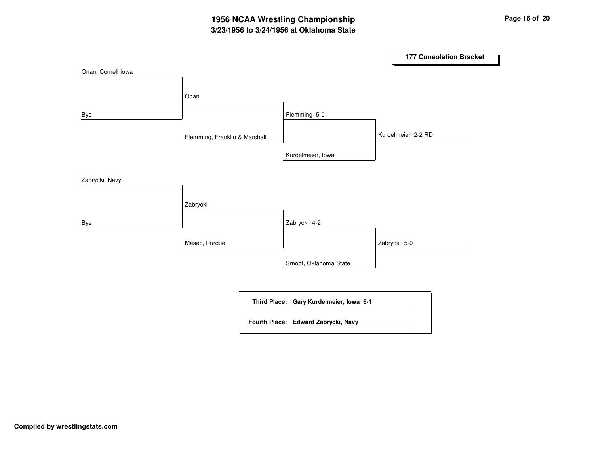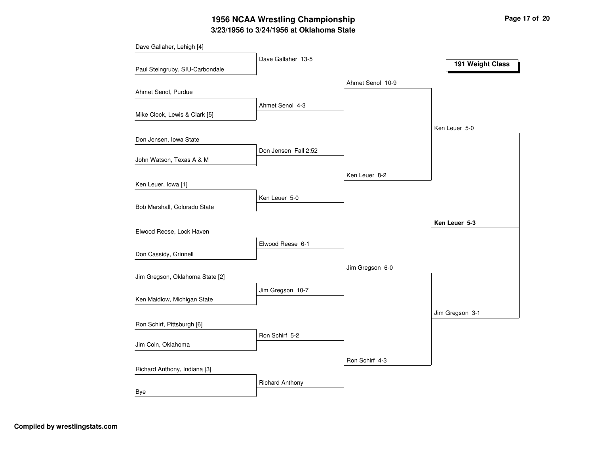## **3/23/1956 to 3/24/1956 at Oklahoma State 1956 NCAA Wrestling Championship Page <sup>17</sup> of <sup>20</sup>**

| Dave Gallaher, Lehigh [4]       |                        |                  |                  |
|---------------------------------|------------------------|------------------|------------------|
|                                 | Dave Gallaher 13-5     |                  | 191 Weight Class |
| Paul Steingruby, SIU-Carbondale |                        |                  |                  |
|                                 |                        | Ahmet Senol 10-9 |                  |
| Ahmet Senol, Purdue             |                        |                  |                  |
|                                 | Ahmet Senol 4-3        |                  |                  |
| Mike Clock, Lewis & Clark [5]   |                        |                  |                  |
|                                 |                        |                  | Ken Leuer 5-0    |
| Don Jensen, Iowa State          |                        |                  |                  |
|                                 | Don Jensen Fall 2:52   |                  |                  |
| John Watson, Texas A & M        |                        |                  |                  |
|                                 |                        | Ken Leuer 8-2    |                  |
| Ken Leuer, Iowa [1]             |                        |                  |                  |
|                                 | Ken Leuer 5-0          |                  |                  |
| Bob Marshall, Colorado State    |                        |                  |                  |
|                                 |                        |                  | Ken Leuer 5-3    |
| Elwood Reese, Lock Haven        |                        |                  |                  |
|                                 | Elwood Reese 6-1       |                  |                  |
| Don Cassidy, Grinnell           |                        |                  |                  |
|                                 |                        | Jim Gregson 6-0  |                  |
| Jim Gregson, Oklahoma State [2] |                        |                  |                  |
|                                 | Jim Gregson 10-7       |                  |                  |
| Ken Maidlow, Michigan State     |                        |                  |                  |
|                                 |                        |                  | Jim Gregson 3-1  |
| Ron Schirf, Pittsburgh [6]      |                        |                  |                  |
|                                 | Ron Schirf 5-2         |                  |                  |
| Jim Coln, Oklahoma              |                        |                  |                  |
|                                 |                        | Ron Schirf 4-3   |                  |
| Richard Anthony, Indiana [3]    |                        |                  |                  |
|                                 | <b>Richard Anthony</b> |                  |                  |
| Bye                             |                        |                  |                  |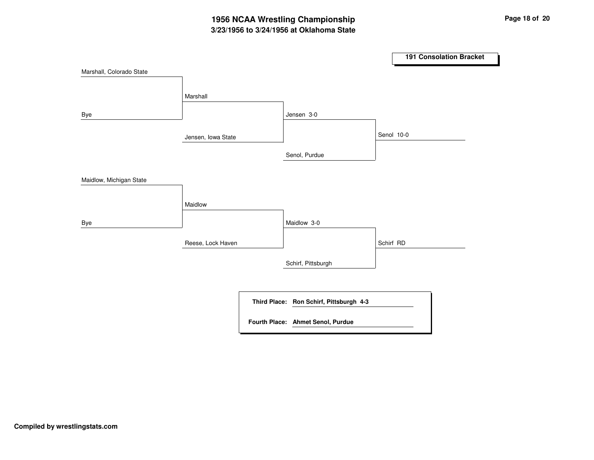## **3/23/1956 to 3/24/1956 at Oklahoma State 1956 NCAA Wrestling Championship Page <sup>18</sup> of <sup>20</sup>**

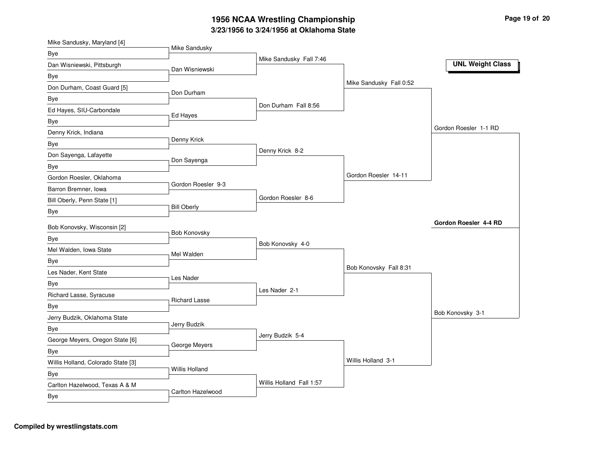| Mike Sandusky, Maryland [4]        |                       |                          |                         |                         |
|------------------------------------|-----------------------|--------------------------|-------------------------|-------------------------|
| Bye                                | Mike Sandusky         |                          |                         |                         |
| Dan Wisniewski, Pittsburgh         | Dan Wisniewski        | Mike Sandusky Fall 7:46  |                         | <b>UNL Weight Class</b> |
| Bye                                |                       |                          |                         |                         |
| Don Durham, Coast Guard [5]        |                       |                          | Mike Sandusky Fall 0:52 |                         |
| Bye                                | Don Durham            |                          |                         |                         |
| Ed Hayes, SIU-Carbondale           |                       | Don Durham Fall 8:56     |                         |                         |
| Bye                                | Ed Hayes              |                          |                         |                         |
| Denny Krick, Indiana               |                       |                          |                         | Gordon Roesler 1-1 RD   |
| Bye                                | Denny Krick           |                          |                         |                         |
| Don Sayenga, Lafayette             |                       | Denny Krick 8-2          |                         |                         |
| Bye                                | Don Sayenga           |                          |                         |                         |
| Gordon Roesler, Oklahoma           |                       |                          | Gordon Roesler 14-11    |                         |
| Barron Bremner, Iowa               | Gordon Roesler 9-3    |                          |                         |                         |
| Bill Oberly, Penn State [1]        |                       | Gordon Roesler 8-6       |                         |                         |
| Bye                                | <b>Bill Oberly</b>    |                          |                         |                         |
|                                    |                       |                          |                         | Gordon Roesler 4-4 RD   |
| Bob Konovsky, Wisconsin [2]        | Bob Konovsky          |                          |                         |                         |
| Bye<br>Mel Walden, Iowa State      |                       | Bob Konovsky 4-0         |                         |                         |
|                                    | Mel Walden            |                          |                         |                         |
| Bye                                |                       |                          | Bob Konovsky Fall 8:31  |                         |
| Les Nader, Kent State              | Les Nader             |                          |                         |                         |
| Bye                                |                       | Les Nader 2-1            |                         |                         |
| Richard Lasse, Syracuse            | <b>Richard Lasse</b>  |                          |                         |                         |
| Bye                                |                       |                          |                         | Bob Konovsky 3-1        |
| Jerry Budzik, Oklahoma State       | Jerry Budzik          |                          |                         |                         |
| Bye                                |                       | Jerry Budzik 5-4         |                         |                         |
| George Meyers, Oregon State [6]    | George Meyers         |                          |                         |                         |
| Bye                                |                       |                          | Willis Holland 3-1      |                         |
| Willis Holland, Colorado State [3] | <b>Willis Holland</b> |                          |                         |                         |
| Bye                                |                       | Willis Holland Fall 1:57 |                         |                         |
| Carlton Hazelwood, Texas A & M     | Carlton Hazelwood     |                          |                         |                         |
| Bye                                |                       |                          |                         |                         |